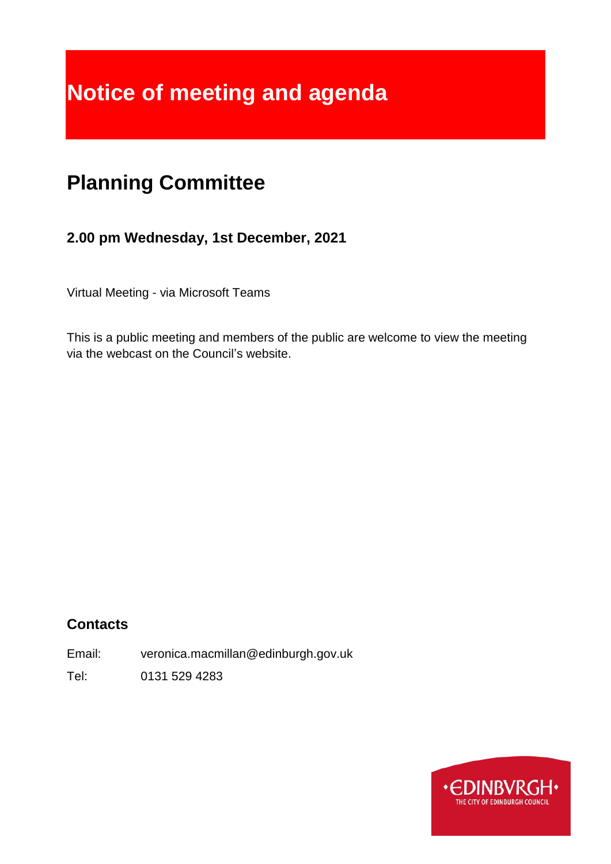# **Notice of meeting and agenda**

## **Planning Committee**

## **2.00 pm Wednesday, 1st December, 2021**

Virtual Meeting - via Microsoft Teams

This is a public meeting and members of the public are welcome to view the meeting via the webcast on the Council's website.

## **Contacts**

Email: veronica.macmillan@edinburgh.gov.uk

Tel: 0131 529 4283

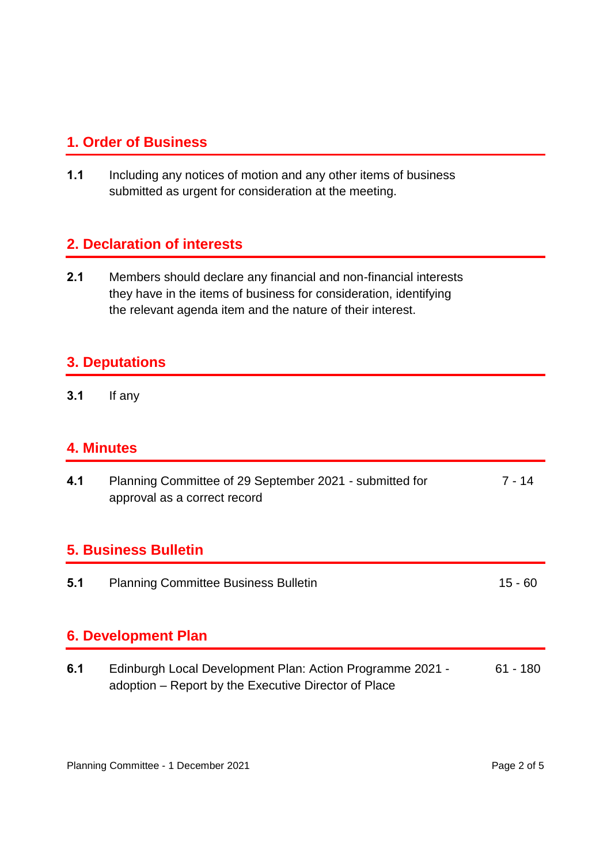## **1. Order of Business**

**1.1** Including any notices of motion and any other items of business submitted as urgent for consideration at the meeting.

## **2. Declaration of interests**

**2.1** Members should declare any financial and non-financial interests they have in the items of business for consideration, identifying the relevant agenda item and the nature of their interest.

## **3. Deputations**

**3.1** If any

#### **4. Minutes**

| 4.1 | Planning Committee of 29 September 2021 - submitted for<br>approval as a correct record | $7 - 14$      |
|-----|-----------------------------------------------------------------------------------------|---------------|
|     | <b>5. Business Bulletin</b>                                                             |               |
| 5.1 | <b>Planning Committee Business Bulletin</b>                                             | $15 - 60$     |
|     | <b>6. Development Plan</b>                                                              |               |
| c 1 | Edinburgh Local Dovelopment Plan: Action Programme 2021                                 | <b>61 100</b> |

**6.1** Edinburgh Local Development Plan: Action Programme 2021 adoption – Report by the Executive Director of Place 61 - 180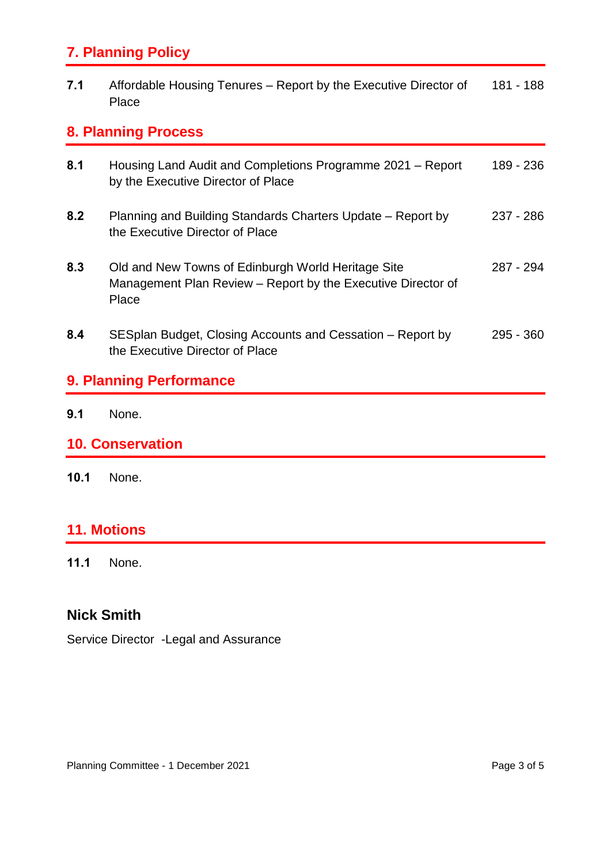## **7. Planning Policy**

| 7.1 | Affordable Housing Tenures – Report by the Executive Director of | 181 - 188 |
|-----|------------------------------------------------------------------|-----------|
|     | Place                                                            |           |

## **8. Planning Process**

| 9.1                     | None.                                                                                                                       |           |  |  |
|-------------------------|-----------------------------------------------------------------------------------------------------------------------------|-----------|--|--|
| 9. Planning Performance |                                                                                                                             |           |  |  |
| 8.4                     | SESplan Budget, Closing Accounts and Cessation – Report by<br>the Executive Director of Place                               | 295 - 360 |  |  |
| 8.3                     | Old and New Towns of Edinburgh World Heritage Site<br>Management Plan Review – Report by the Executive Director of<br>Place | 287 - 294 |  |  |
| 8.2                     | Planning and Building Standards Charters Update – Report by<br>the Executive Director of Place                              | 237 - 286 |  |  |
| 8.1                     | Housing Land Audit and Completions Programme 2021 – Report<br>by the Executive Director of Place                            | 189 - 236 |  |  |

## **10. Conservation**

**10.1** None.

## **11. Motions**

**11.1** None.

## **Nick Smith**

Service Director -Legal and Assurance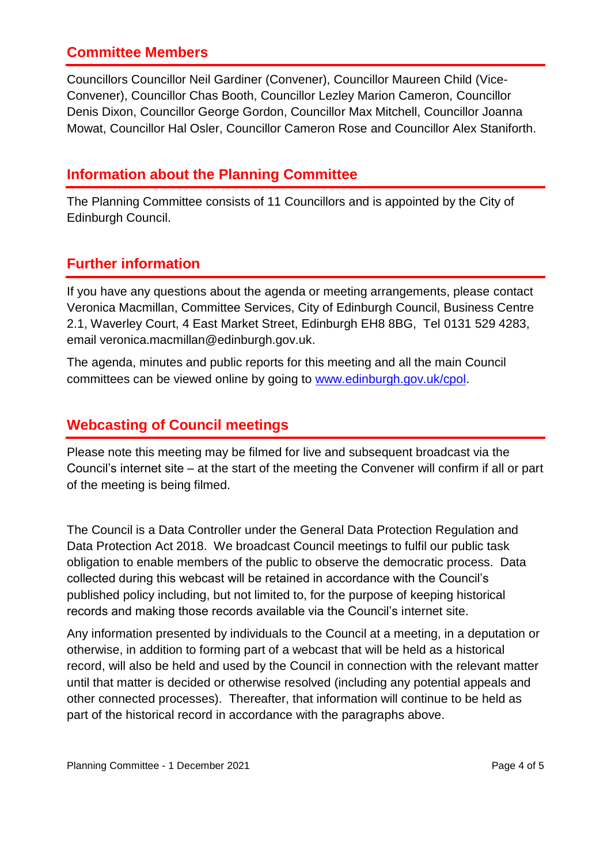## **Committee Members**

Councillors Councillor Neil Gardiner (Convener), Councillor Maureen Child (Vice-Convener), Councillor Chas Booth, Councillor Lezley Marion Cameron, Councillor Denis Dixon, Councillor George Gordon, Councillor Max Mitchell, Councillor Joanna Mowat, Councillor Hal Osler, Councillor Cameron Rose and Councillor Alex Staniforth.

#### **Information about the Planning Committee**

The Planning Committee consists of 11 Councillors and is appointed by the City of Edinburgh Council.

## **Further information**

If you have any questions about the agenda or meeting arrangements, please contact Veronica Macmillan, Committee Services, City of Edinburgh Council, Business Centre 2.1, Waverley Court, 4 East Market Street, Edinburgh EH8 8BG, Tel 0131 529 4283, email veronica.macmillan@edinburgh.gov.uk.

The agenda, minutes and public reports for this meeting and all the main Council committees can be viewed online by going to [www.edinburgh.gov.uk/cpol.](http://www.edinburgh.gov.uk/cpol)

## **Webcasting of Council meetings**

Please note this meeting may be filmed for live and subsequent broadcast via the Council's internet site – at the start of the meeting the Convener will confirm if all or part of the meeting is being filmed.

The Council is a Data Controller under the General Data Protection Regulation and Data Protection Act 2018. We broadcast Council meetings to fulfil our public task obligation to enable members of the public to observe the democratic process. Data collected during this webcast will be retained in accordance with the Council's published policy including, but not limited to, for the purpose of keeping historical records and making those records available via the Council's internet site.

Any information presented by individuals to the Council at a meeting, in a deputation or otherwise, in addition to forming part of a webcast that will be held as a historical record, will also be held and used by the Council in connection with the relevant matter until that matter is decided or otherwise resolved (including any potential appeals and other connected processes). Thereafter, that information will continue to be held as part of the historical record in accordance with the paragraphs above.